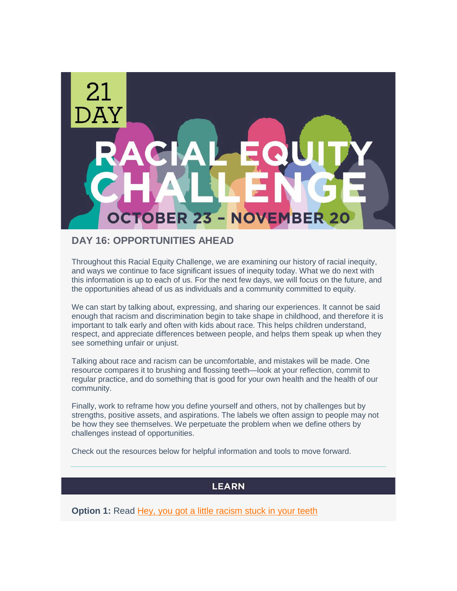

### **DAY 16: OPPORTUNITIES AHEAD**

Throughout this Racial Equity Challenge, we are examining our history of racial inequity, and ways we continue to face significant issues of inequity today. What we do next with this information is up to each of us. For the next few days, we will focus on the future, and the opportunities ahead of us as individuals and a community committed to equity.

We can start by talking about, expressing, and sharing our experiences. It cannot be said enough that racism and discrimination begin to take shape in childhood, and therefore it is important to talk early and often with kids about race. This helps children understand, respect, and appreciate differences between people, and helps them speak up when they see something unfair or unjust.

Talking about race and racism can be uncomfortable, and mistakes will be made. One resource compares it to brushing and flossing teeth—look at your reflection, commit to regular practice, and do something that is good for your own health and the health of our community.

Finally, work to reframe how you define yourself and others, not by challenges but by strengths, positive assets, and aspirations. The labels we often assign to people may not be how they see themselves. We perpetuate the problem when we define others by challenges instead of opportunities.

Check out the resources below for helpful information and tools to move forward.

#### **LEARN**

**Option 1:** Read [Hey, you got a little racism stuck in your teeth](https://nonprofitaf.com/2016/08/flossing-and-the-dental-hygiene-paradigm-of-race-discourse/)